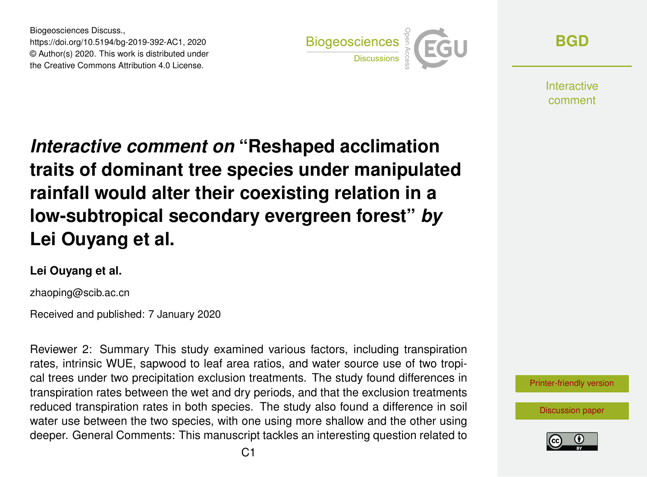Biogeosciences Discuss., https://doi.org/10.5194/bg-2019-392-AC1, 2020 © Author(s) 2020. This work is distributed under the Creative Commons Attribution 4.0 License.



**[BGD](https://www.biogeosciences-discuss.net/)**

Interactive comment

*Interactive comment on* **"Reshaped acclimation traits of dominant tree species under manipulated rainfall would alter their coexisting relation in a low-subtropical secondary evergreen forest"** *by* **Lei Ouyang et al.**

#### **Lei Ouyang et al.**

zhaoping@scib.ac.cn

Received and published: 7 January 2020

Reviewer 2: Summary This study examined various factors, including transpiration rates, intrinsic WUE, sapwood to leaf area ratios, and water source use of two tropical trees under two precipitation exclusion treatments. The study found differences in transpiration rates between the wet and dry periods, and that the exclusion treatments reduced transpiration rates in both species. The study also found a difference in soil water use between the two species, with one using more shallow and the other using deeper. General Comments: This manuscript tackles an interesting question related to



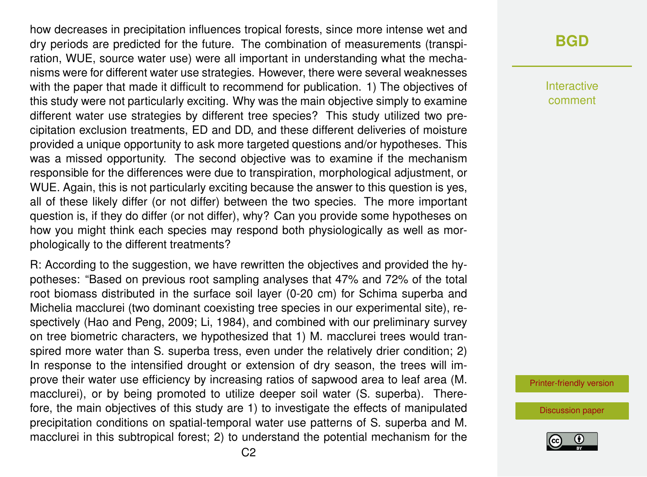how decreases in precipitation influences tropical forests, since more intense wet and dry periods are predicted for the future. The combination of measurements (transpiration, WUE, source water use) were all important in understanding what the mechanisms were for different water use strategies. However, there were several weaknesses with the paper that made it difficult to recommend for publication. 1) The objectives of this study were not particularly exciting. Why was the main objective simply to examine different water use strategies by different tree species? This study utilized two precipitation exclusion treatments, ED and DD, and these different deliveries of moisture provided a unique opportunity to ask more targeted questions and/or hypotheses. This was a missed opportunity. The second objective was to examine if the mechanism responsible for the differences were due to transpiration, morphological adjustment, or WUE. Again, this is not particularly exciting because the answer to this question is yes, all of these likely differ (or not differ) between the two species. The more important question is, if they do differ (or not differ), why? Can you provide some hypotheses on how you might think each species may respond both physiologically as well as morphologically to the different treatments?

R: According to the suggestion, we have rewritten the objectives and provided the hypotheses: "Based on previous root sampling analyses that 47% and 72% of the total root biomass distributed in the surface soil layer (0-20 cm) for Schima superba and Michelia macclurei (two dominant coexisting tree species in our experimental site), respectively (Hao and Peng, 2009; Li, 1984), and combined with our preliminary survey on tree biometric characters, we hypothesized that 1) M. macclurei trees would transpired more water than S. superba tress, even under the relatively drier condition; 2) In response to the intensified drought or extension of dry season, the trees will improve their water use efficiency by increasing ratios of sapwood area to leaf area (M. macclurei), or by being promoted to utilize deeper soil water (S. superba). Therefore, the main objectives of this study are 1) to investigate the effects of manipulated precipitation conditions on spatial-temporal water use patterns of S. superba and M. macclurei in this subtropical forest; 2) to understand the potential mechanism for the

#### **[BGD](https://www.biogeosciences-discuss.net/)**

Interactive comment

[Printer-friendly version](https://www.biogeosciences-discuss.net/bg-2019-392/bg-2019-392-AC1-print.pdf)

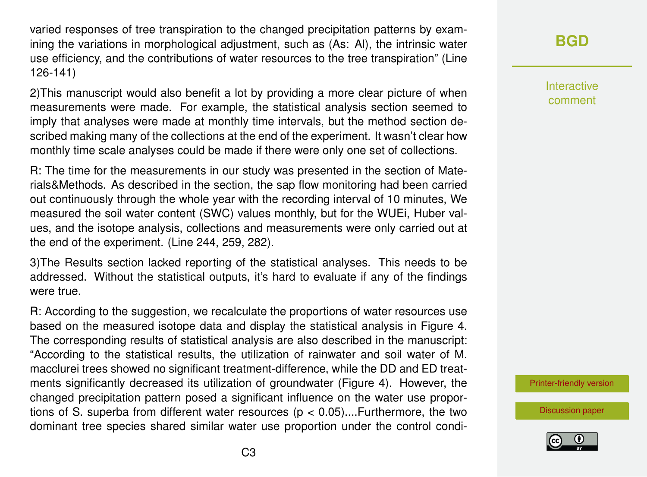varied responses of tree transpiration to the changed precipitation patterns by examining the variations in morphological adjustment, such as (As: Al), the intrinsic water use efficiency, and the contributions of water resources to the tree transpiration" (Line 126-141)

2)This manuscript would also benefit a lot by providing a more clear picture of when measurements were made. For example, the statistical analysis section seemed to imply that analyses were made at monthly time intervals, but the method section described making many of the collections at the end of the experiment. It wasn't clear how monthly time scale analyses could be made if there were only one set of collections.

R: The time for the measurements in our study was presented in the section of Materials&Methods. As described in the section, the sap flow monitoring had been carried out continuously through the whole year with the recording interval of 10 minutes, We measured the soil water content (SWC) values monthly, but for the WUEi, Huber values, and the isotope analysis, collections and measurements were only carried out at the end of the experiment. (Line 244, 259, 282).

3)The Results section lacked reporting of the statistical analyses. This needs to be addressed. Without the statistical outputs, it's hard to evaluate if any of the findings were true.

R: According to the suggestion, we recalculate the proportions of water resources use based on the measured isotope data and display the statistical analysis in Figure 4. The corresponding results of statistical analysis are also described in the manuscript: "According to the statistical results, the utilization of rainwater and soil water of M. macclurei trees showed no significant treatment-difference, while the DD and ED treatments significantly decreased its utilization of groundwater (Figure 4). However, the changed precipitation pattern posed a significant influence on the water use proportions of S. superba from different water resources ( $p < 0.05$ )....Furthermore, the two dominant tree species shared similar water use proportion under the control condi-

# **[BGD](https://www.biogeosciences-discuss.net/)**

Interactive comment

[Printer-friendly version](https://www.biogeosciences-discuss.net/bg-2019-392/bg-2019-392-AC1-print.pdf)

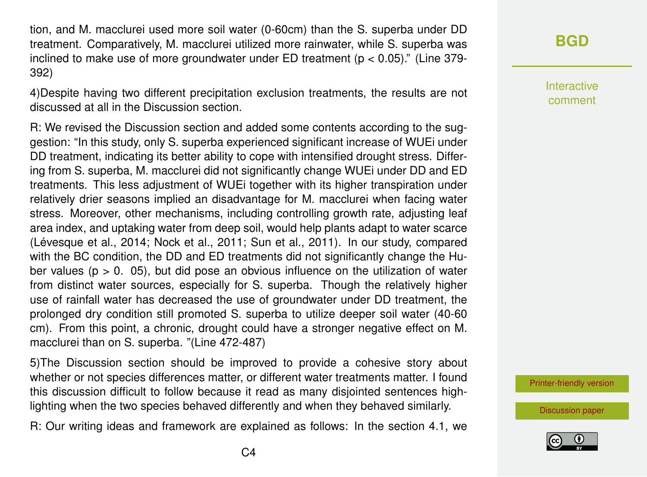tion, and M. macclurei used more soil water (0-60cm) than the S. superba under DD treatment. Comparatively, M. macclurei utilized more rainwater, while S. superba was inclined to make use of more groundwater under ED treatment ( $p < 0.05$ )." (Line 379-392)

4)Despite having two different precipitation exclusion treatments, the results are not discussed at all in the Discussion section.

R: We revised the Discussion section and added some contents according to the suggestion: "In this study, only S. superba experienced significant increase of WUEi under DD treatment, indicating its better ability to cope with intensified drought stress. Differing from S. superba, M. macclurei did not significantly change WUEi under DD and ED treatments. This less adjustment of WUEi together with its higher transpiration under relatively drier seasons implied an disadvantage for M. macclurei when facing water stress. Moreover, other mechanisms, including controlling growth rate, adjusting leaf area index, and uptaking water from deep soil, would help plants adapt to water scarce (Lévesque et al., 2014; Nock et al., 2011; Sun et al., 2011). In our study, compared with the BC condition, the DD and ED treatments did not significantly change the Huber values ( $p > 0$ . 05), but did pose an obvious influence on the utilization of water from distinct water sources, especially for S. superba. Though the relatively higher use of rainfall water has decreased the use of groundwater under DD treatment, the prolonged dry condition still promoted S. superba to utilize deeper soil water (40-60 cm). From this point, a chronic, drought could have a stronger negative effect on M. macclurei than on S. superba. "(Line 472-487)

5)The Discussion section should be improved to provide a cohesive story about whether or not species differences matter, or different water treatments matter. I found this discussion difficult to follow because it read as many disjointed sentences highlighting when the two species behaved differently and when they behaved similarly.

R: Our writing ideas and framework are explained as follows: In the section 4.1, we

### **[BGD](https://www.biogeosciences-discuss.net/)**

Interactive comment

[Printer-friendly version](https://www.biogeosciences-discuss.net/bg-2019-392/bg-2019-392-AC1-print.pdf)

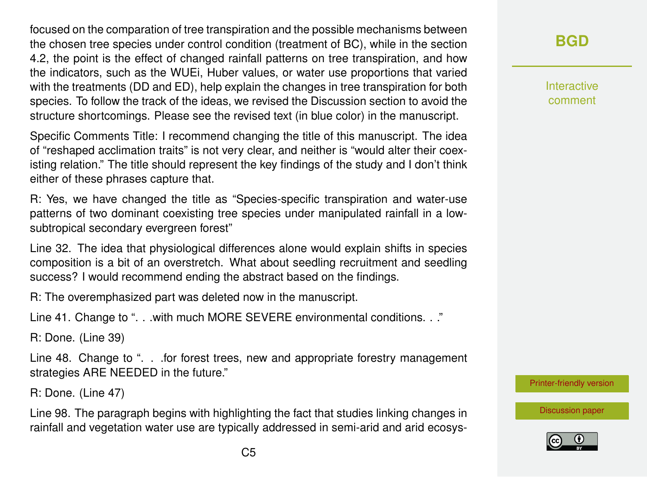focused on the comparation of tree transpiration and the possible mechanisms between the chosen tree species under control condition (treatment of BC), while in the section 4.2, the point is the effect of changed rainfall patterns on tree transpiration, and how the indicators, such as the WUEi, Huber values, or water use proportions that varied with the treatments (DD and ED), help explain the changes in tree transpiration for both species. To follow the track of the ideas, we revised the Discussion section to avoid the structure shortcomings. Please see the revised text (in blue color) in the manuscript.

Specific Comments Title: I recommend changing the title of this manuscript. The idea of "reshaped acclimation traits" is not very clear, and neither is "would alter their coexisting relation." The title should represent the key findings of the study and I don't think either of these phrases capture that.

R: Yes, we have changed the title as "Species-specific transpiration and water-use patterns of two dominant coexisting tree species under manipulated rainfall in a lowsubtropical secondary evergreen forest"

Line 32. The idea that physiological differences alone would explain shifts in species composition is a bit of an overstretch. What about seedling recruitment and seedling success? I would recommend ending the abstract based on the findings.

R: The overemphasized part was deleted now in the manuscript.

Line 41. Change to ". . . with much MORE SEVERE environmental conditions. . ."

R: Done. (Line 39)

Line 48. Change to ". . .for forest trees, new and appropriate forestry management strategies ARE NEEDED in the future."

R: Done. (Line 47)

Line 98. The paragraph begins with highlighting the fact that studies linking changes in rainfall and vegetation water use are typically addressed in semi-arid and arid ecosys**[BGD](https://www.biogeosciences-discuss.net/)**

Interactive comment

[Printer-friendly version](https://www.biogeosciences-discuss.net/bg-2019-392/bg-2019-392-AC1-print.pdf)

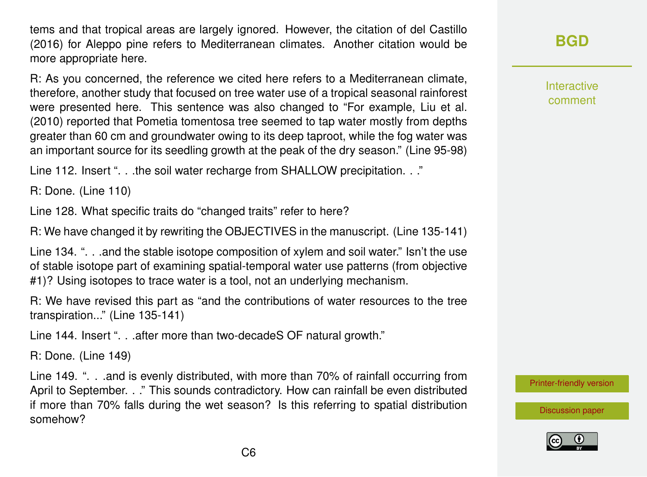tems and that tropical areas are largely ignored. However, the citation of del Castillo (2016) for Aleppo pine refers to Mediterranean climates. Another citation would be more appropriate here.

R: As you concerned, the reference we cited here refers to a Mediterranean climate, therefore, another study that focused on tree water use of a tropical seasonal rainforest were presented here. This sentence was also changed to "For example, Liu et al. (2010) reported that Pometia tomentosa tree seemed to tap water mostly from depths greater than 60 cm and groundwater owing to its deep taproot, while the fog water was an important source for its seedling growth at the peak of the dry season." (Line 95-98)

Line 112. Insert ". . .the soil water recharge from SHALLOW precipitation. . ."

R: Done. (Line 110)

Line 128. What specific traits do "changed traits" refer to here?

R: We have changed it by rewriting the OBJECTIVES in the manuscript. (Line 135-141)

Line 134. ". . .and the stable isotope composition of xylem and soil water." Isn't the use of stable isotope part of examining spatial-temporal water use patterns (from objective #1)? Using isotopes to trace water is a tool, not an underlying mechanism.

R: We have revised this part as "and the contributions of water resources to the tree transpiration..." (Line 135-141)

Line 144. Insert ". . . after more than two-decadeS OF natural growth."

R: Done. (Line 149)

Line 149. ". . .and is evenly distributed, with more than 70% of rainfall occurring from April to September. . ." This sounds contradictory. How can rainfall be even distributed if more than 70% falls during the wet season? Is this referring to spatial distribution somehow?

**[BGD](https://www.biogeosciences-discuss.net/)**

Interactive comment

[Printer-friendly version](https://www.biogeosciences-discuss.net/bg-2019-392/bg-2019-392-AC1-print.pdf)

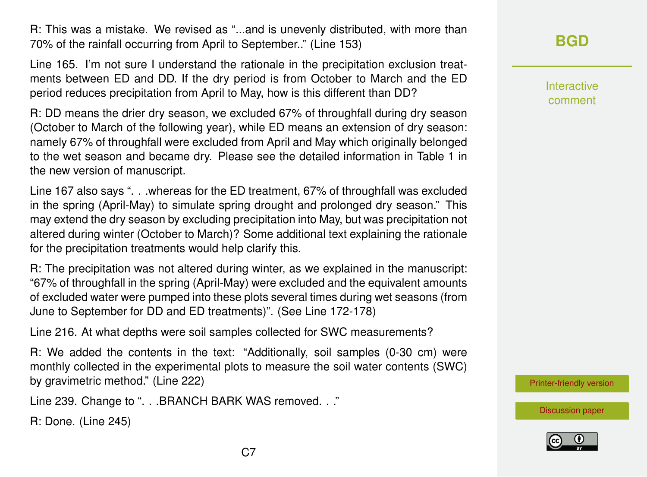R: This was a mistake. We revised as "...and is unevenly distributed, with more than 70% of the rainfall occurring from April to September.." (Line 153)

Line 165. I'm not sure I understand the rationale in the precipitation exclusion treatments between ED and DD. If the dry period is from October to March and the ED period reduces precipitation from April to May, how is this different than DD?

R: DD means the drier dry season, we excluded 67% of throughfall during dry season (October to March of the following year), while ED means an extension of dry season: namely 67% of throughfall were excluded from April and May which originally belonged to the wet season and became dry. Please see the detailed information in Table 1 in the new version of manuscript.

Line 167 also says ". . .whereas for the ED treatment, 67% of throughfall was excluded in the spring (April-May) to simulate spring drought and prolonged dry season." This may extend the dry season by excluding precipitation into May, but was precipitation not altered during winter (October to March)? Some additional text explaining the rationale for the precipitation treatments would help clarify this.

R: The precipitation was not altered during winter, as we explained in the manuscript: "67% of throughfall in the spring (April-May) were excluded and the equivalent amounts of excluded water were pumped into these plots several times during wet seasons (from June to September for DD and ED treatments)". (See Line 172-178)

Line 216. At what depths were soil samples collected for SWC measurements?

R: We added the contents in the text: "Additionally, soil samples (0-30 cm) were monthly collected in the experimental plots to measure the soil water contents (SWC) by gravimetric method." (Line 222)

Line 239. Change to ". . .BRANCH BARK WAS removed. . ."

R: Done. (Line 245)

# **[BGD](https://www.biogeosciences-discuss.net/)**

Interactive comment

[Printer-friendly version](https://www.biogeosciences-discuss.net/bg-2019-392/bg-2019-392-AC1-print.pdf)

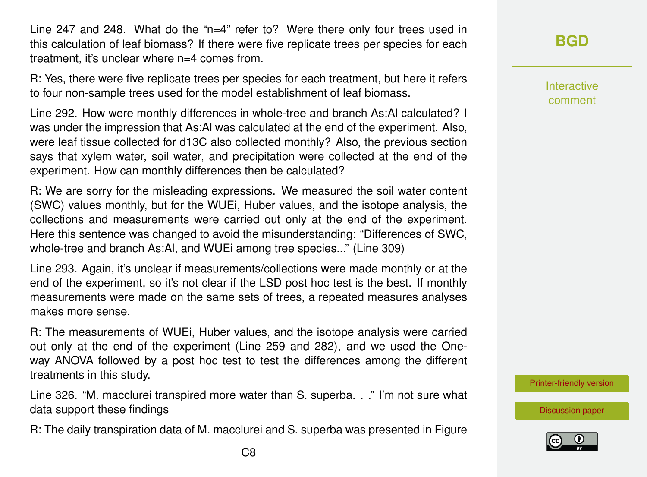Line 247 and 248. What do the "n=4" refer to? Were there only four trees used in this calculation of leaf biomass? If there were five replicate trees per species for each treatment, it's unclear where n=4 comes from.

R: Yes, there were five replicate trees per species for each treatment, but here it refers to four non-sample trees used for the model establishment of leaf biomass.

Line 292. How were monthly differences in whole-tree and branch As:Al calculated? I was under the impression that As:Al was calculated at the end of the experiment. Also, were leaf tissue collected for d13C also collected monthly? Also, the previous section says that xylem water, soil water, and precipitation were collected at the end of the experiment. How can monthly differences then be calculated?

R: We are sorry for the misleading expressions. We measured the soil water content (SWC) values monthly, but for the WUEi, Huber values, and the isotope analysis, the collections and measurements were carried out only at the end of the experiment. Here this sentence was changed to avoid the misunderstanding: "Differences of SWC, whole-tree and branch As:Al, and WUEi among tree species..." (Line 309)

Line 293. Again, it's unclear if measurements/collections were made monthly or at the end of the experiment, so it's not clear if the LSD post hoc test is the best. If monthly measurements were made on the same sets of trees, a repeated measures analyses makes more sense.

R: The measurements of WUEi, Huber values, and the isotope analysis were carried out only at the end of the experiment (Line 259 and 282), and we used the Oneway ANOVA followed by a post hoc test to test the differences among the different treatments in this study.

Line 326. "M. macclurei transpired more water than S. superba. . ." I'm not sure what data support these findings

R: The daily transpiration data of M. macclurei and S. superba was presented in Figure

Interactive comment

[Printer-friendly version](https://www.biogeosciences-discuss.net/bg-2019-392/bg-2019-392-AC1-print.pdf)

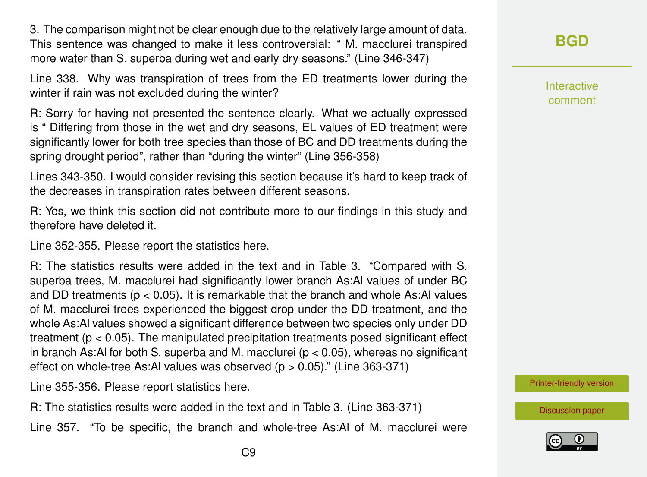3. The comparison might not be clear enough due to the relatively large amount of data. This sentence was changed to make it less controversial: " M. macclurei transpired more water than S. superba during wet and early dry seasons." (Line 346-347)

Line 338. Why was transpiration of trees from the ED treatments lower during the winter if rain was not excluded during the winter?

R: Sorry for having not presented the sentence clearly. What we actually expressed is " Differing from those in the wet and dry seasons, EL values of ED treatment were significantly lower for both tree species than those of BC and DD treatments during the spring drought period", rather than "during the winter" (Line 356-358)

Lines 343-350. I would consider revising this section because it's hard to keep track of the decreases in transpiration rates between different seasons.

R: Yes, we think this section did not contribute more to our findings in this study and therefore have deleted it.

Line 352-355. Please report the statistics here.

R: The statistics results were added in the text and in Table 3. "Compared with S. superba trees, M. macclurei had significantly lower branch As:Al values of under BC and DD treatments ( $p < 0.05$ ). It is remarkable that the branch and whole As:AI values of M. macclurei trees experienced the biggest drop under the DD treatment, and the whole As:Al values showed a significant difference between two species only under DD treatment ( $p < 0.05$ ). The manipulated precipitation treatments posed significant effect in branch As:Al for both S. superba and M. macclurei ( $p < 0.05$ ), whereas no significant effect on whole-tree As:Al values was observed  $(p > 0.05)$ ." (Line 363-371)

Line 355-356. Please report statistics here.

R: The statistics results were added in the text and in Table 3. (Line 363-371)

Line 357. "To be specific, the branch and whole-tree As:Al of M. macclurei were

Interactive comment

[Printer-friendly version](https://www.biogeosciences-discuss.net/bg-2019-392/bg-2019-392-AC1-print.pdf)

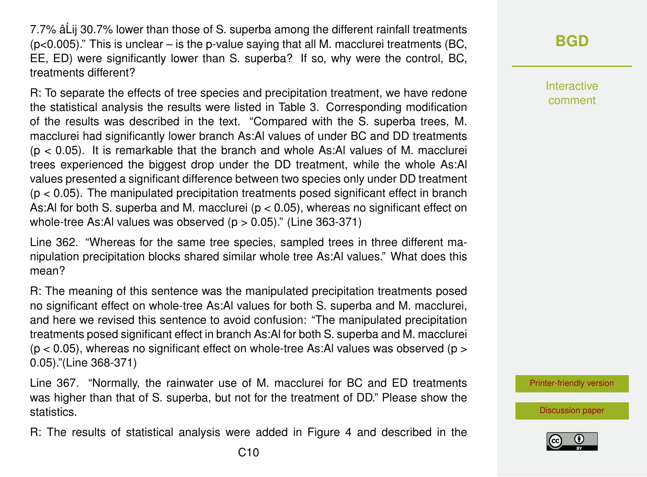7.7% â Lii 30.7% lower than those of S. superba among the different rainfall treatments  $(p<0.005)$ ." This is unclear – is the p-value saying that all M. macclurei treatments (BC, EE, ED) were significantly lower than S. superba? If so, why were the control, BC, treatments different?

R: To separate the effects of tree species and precipitation treatment, we have redone the statistical analysis the results were listed in Table 3. Corresponding modification of the results was described in the text. "Compared with the S. superba trees, M. macclurei had significantly lower branch As:Al values of under BC and DD treatments  $(p < 0.05)$ . It is remarkable that the branch and whole As:Al values of M. macclurei trees experienced the biggest drop under the DD treatment, while the whole As:Al values presented a significant difference between two species only under DD treatment  $(p < 0.05)$ . The manipulated precipitation treatments posed significant effect in branch As:Al for both S. superba and M. macclurei ( $p < 0.05$ ), whereas no significant effect on whole-tree As:Al values was observed  $(p > 0.05)$ ." (Line 363-371)

Line 362. "Whereas for the same tree species, sampled trees in three different manipulation precipitation blocks shared similar whole tree As:Al values." What does this mean?

R: The meaning of this sentence was the manipulated precipitation treatments posed no significant effect on whole-tree As:Al values for both S. superba and M. macclurei, and here we revised this sentence to avoid confusion: "The manipulated precipitation treatments posed significant effect in branch As:Al for both S. superba and M. macclurei  $(p < 0.05)$ , whereas no significant effect on whole-tree As:Al values was observed ( $p > 0$ 0.05)."(Line 368-371)

Line 367. "Normally, the rainwater use of M. macclurei for BC and ED treatments was higher than that of S. superba, but not for the treatment of DD." Please show the statistics.

R: The results of statistical analysis were added in Figure 4 and described in the

Interactive comment

[Printer-friendly version](https://www.biogeosciences-discuss.net/bg-2019-392/bg-2019-392-AC1-print.pdf)

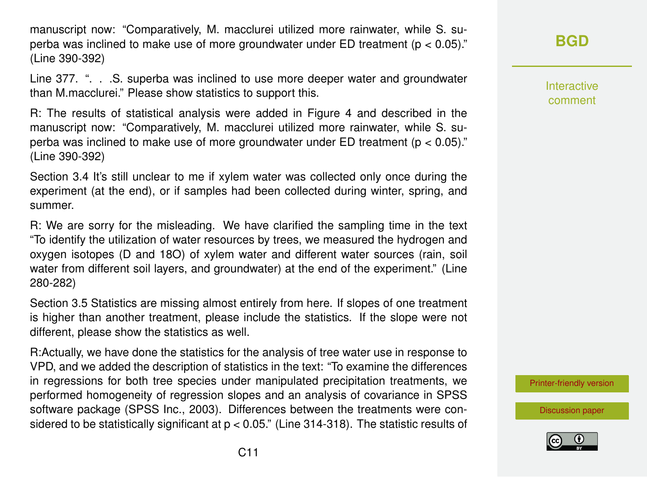manuscript now: "Comparatively, M. macclurei utilized more rainwater, while S. superba was inclined to make use of more groundwater under ED treatment ( $p < 0.05$ )." (Line 390-392)

Line 377. ". . .S. superba was inclined to use more deeper water and groundwater than M.macclurei." Please show statistics to support this.

R: The results of statistical analysis were added in Figure 4 and described in the manuscript now: "Comparatively, M. macclurei utilized more rainwater, while S. superba was inclined to make use of more groundwater under ED treatment ( $p < 0.05$ )." (Line 390-392)

Section 3.4 It's still unclear to me if xylem water was collected only once during the experiment (at the end), or if samples had been collected during winter, spring, and summer.

R: We are sorry for the misleading. We have clarified the sampling time in the text "To identify the utilization of water resources by trees, we measured the hydrogen and oxygen isotopes (D and 18O) of xylem water and different water sources (rain, soil water from different soil layers, and groundwater) at the end of the experiment." (Line 280-282)

Section 3.5 Statistics are missing almost entirely from here. If slopes of one treatment is higher than another treatment, please include the statistics. If the slope were not different, please show the statistics as well.

R:Actually, we have done the statistics for the analysis of tree water use in response to VPD, and we added the description of statistics in the text: "To examine the differences in regressions for both tree species under manipulated precipitation treatments, we performed homogeneity of regression slopes and an analysis of covariance in SPSS software package (SPSS Inc., 2003). Differences between the treatments were considered to be statistically significant at  $p < 0.05$ ." (Line 314-318). The statistic results of

## **[BGD](https://www.biogeosciences-discuss.net/)**

Interactive comment

[Printer-friendly version](https://www.biogeosciences-discuss.net/bg-2019-392/bg-2019-392-AC1-print.pdf)

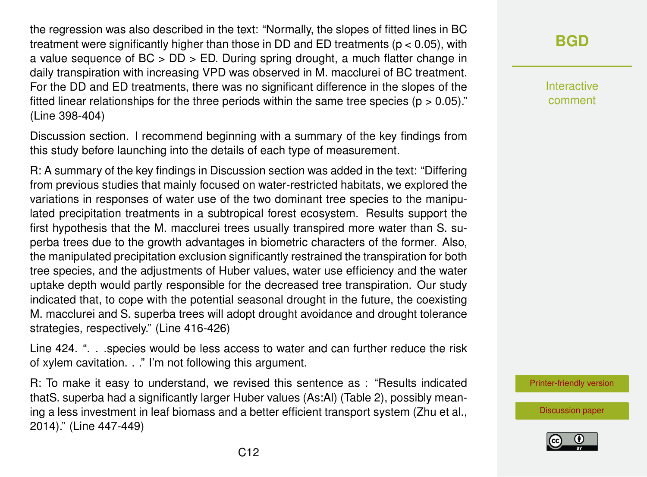the regression was also described in the text: "Normally, the slopes of fitted lines in BC treatment were significantly higher than those in DD and ED treatments ( $p < 0.05$ ), with a value sequence of BC > DD > ED. During spring drought, a much flatter change in daily transpiration with increasing VPD was observed in M. macclurei of BC treatment. For the DD and ED treatments, there was no significant difference in the slopes of the fitted linear relationships for the three periods within the same tree species ( $p > 0.05$ )." (Line 398-404)

Discussion section. I recommend beginning with a summary of the key findings from this study before launching into the details of each type of measurement.

R: A summary of the key findings in Discussion section was added in the text: "Differing from previous studies that mainly focused on water-restricted habitats, we explored the variations in responses of water use of the two dominant tree species to the manipulated precipitation treatments in a subtropical forest ecosystem. Results support the first hypothesis that the M. macclurei trees usually transpired more water than S. superba trees due to the growth advantages in biometric characters of the former. Also, the manipulated precipitation exclusion significantly restrained the transpiration for both tree species, and the adjustments of Huber values, water use efficiency and the water uptake depth would partly responsible for the decreased tree transpiration. Our study indicated that, to cope with the potential seasonal drought in the future, the coexisting M. macclurei and S. superba trees will adopt drought avoidance and drought tolerance strategies, respectively." (Line 416-426)

Line 424. ". . .species would be less access to water and can further reduce the risk of xylem cavitation. . ." I'm not following this argument.

R: To make it easy to understand, we revised this sentence as : "Results indicated thatS. superba had a significantly larger Huber values (As:Al) (Table 2), possibly meaning a less investment in leaf biomass and a better efficient transport system (Zhu et al., 2014)." (Line 447-449)

**[BGD](https://www.biogeosciences-discuss.net/)**

Interactive comment

[Printer-friendly version](https://www.biogeosciences-discuss.net/bg-2019-392/bg-2019-392-AC1-print.pdf)

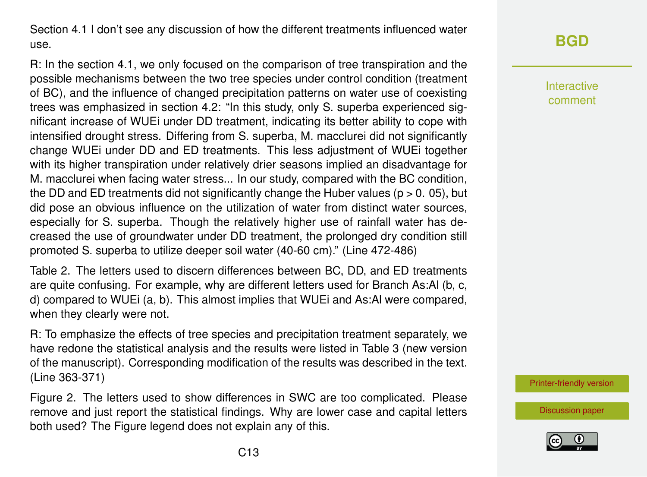Section 4.1 I don't see any discussion of how the different treatments influenced water use.

R: In the section 4.1, we only focused on the comparison of tree transpiration and the possible mechanisms between the two tree species under control condition (treatment of BC), and the influence of changed precipitation patterns on water use of coexisting trees was emphasized in section 4.2: "In this study, only S. superba experienced significant increase of WUEi under DD treatment, indicating its better ability to cope with intensified drought stress. Differing from S. superba, M. macclurei did not significantly change WUEi under DD and ED treatments. This less adjustment of WUEi together with its higher transpiration under relatively drier seasons implied an disadvantage for M. macclurei when facing water stress... In our study, compared with the BC condition, the DD and ED treatments did not significantly change the Huber values ( $p > 0$ . 05), but did pose an obvious influence on the utilization of water from distinct water sources, especially for S. superba. Though the relatively higher use of rainfall water has decreased the use of groundwater under DD treatment, the prolonged dry condition still promoted S. superba to utilize deeper soil water (40-60 cm)." (Line 472-486)

Table 2. The letters used to discern differences between BC, DD, and ED treatments are quite confusing. For example, why are different letters used for Branch As:Al (b, c, d) compared to WUEi (a, b). This almost implies that WUEi and As:Al were compared, when they clearly were not.

R: To emphasize the effects of tree species and precipitation treatment separately, we have redone the statistical analysis and the results were listed in Table 3 (new version of the manuscript). Corresponding modification of the results was described in the text. (Line 363-371)

Figure 2. The letters used to show differences in SWC are too complicated. Please remove and just report the statistical findings. Why are lower case and capital letters both used? The Figure legend does not explain any of this.

# **[BGD](https://www.biogeosciences-discuss.net/)**

Interactive comment

[Printer-friendly version](https://www.biogeosciences-discuss.net/bg-2019-392/bg-2019-392-AC1-print.pdf)